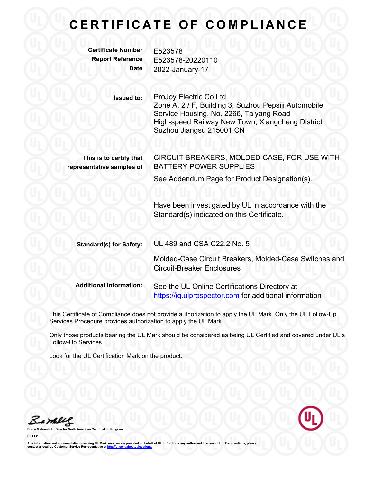## **C E R T I F I C A T E O F C O M P L I A N C E**

**Certificate Number** E523578

**Report Reference** E523578-20220110 **Date** 2022-January-17

> **Issued to:** ProJoy Electric Co Ltd Zone A, 2 / F, Building 3, Suzhou Pepsiji Automobile Service Housing, No. 2266, Taiyang Road High-speed Railway New Town, Xiangcheng District Suzhou Jiangsu 215001 CN

**This is to certify that representative samples of**

CIRCUIT BREAKERS, MOLDED CASE, FOR USE WITH BATTERY POWER SUPPLIES

See Addendum Page for Product Designation(s).

Have been investigated by UL in accordance with the Standard(s) indicated on this Certificate.

| <b>Standard(s) for Safety:</b> | UL 489 and CSA C22.2 No. 5                                                                              |
|--------------------------------|---------------------------------------------------------------------------------------------------------|
|                                | Molded-Case Circuit Breakers, Molded-Case Switches and<br><b>Circuit-Breaker Enclosures</b>             |
| <b>Additional Information:</b> | See the UL Online Certifications Directory at<br>https://iq.ulprospector.com for additional information |

This Certificate of Compliance does not provide authorization to apply the UL Mark. Only the UL Follow-Up Services Procedure provides authorization to apply the UL Mark.

Only those products bearing the UL Mark should be considered as being UL Certified and covered under UL's Follow-Up Services.

Look for the UL Certification Mark on the product.

Barney

**Broard** 

**UL LLC**

Any information and documentation involving UL Mark services are provided on behalf of UL LLC (UL) or any authorized licensee of UL. For questions, please<br>contact a local UL Customer Service Representative at <u>http://ul.co</u>